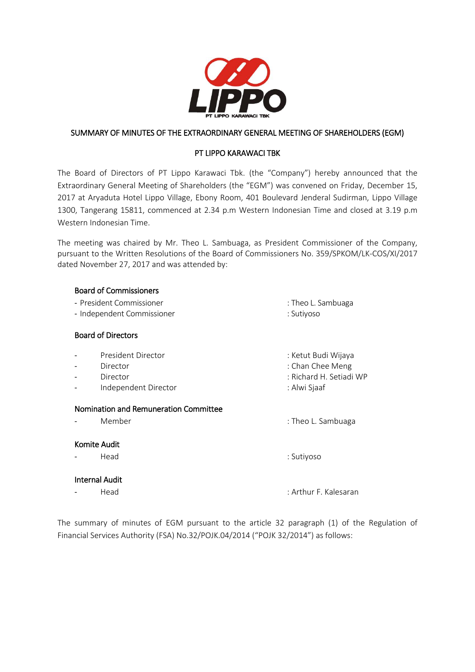

## SUMMARY OF MINUTES OF THE EXTRAORDINARY GENERAL MEETING OF SHAREHOLDERS (EGM)

## PT LIPPO KARAWACI TBK

The Board of Directors of PT Lippo Karawaci Tbk. (the "Company") hereby announced that the Extraordinary General Meeting of Shareholders (the "EGM") was convened on Friday, December 15, 2017 at Aryaduta Hotel Lippo Village, Ebony Room, 401 Boulevard Jenderal Sudirman, Lippo Village 1300, Tangerang 15811, commenced at 2.34 p.m Western Indonesian Time and closed at 3.19 p.m Western Indonesian Time.

The meeting was chaired by Mr. Theo L. Sambuaga, as President Commissioner of the Company, pursuant to the Written Resolutions of the Board of Commissioners No. 359/SPKOM/LK-COS/XI/2017 dated November 27, 2017 and was attended by:

### Board of Commissioners

- President Commissioner : Theo L. Sambuaga
- Independent Commissioner : Sutiyoso

### Board of Directors

- President Director in the state of the state of the Section of the Section 1 and the Section 1 and the Section 1
- Director : Chan Chee Meng
- Director : Richard H. Setiadi WP
- Independent Director in the state of the Siaaf

#### Nomination and Remuneration Committee

Member : Theo L. Sambuaga

## Komite Audit

## Internal Audit

- Head : Sutiyoso

- Head : Arthur F. Kalesaran

The summary of minutes of EGM pursuant to the article 32 paragraph (1) of the Regulation of Financial Services Authority (FSA) No.32/POJK.04/2014 ("POJK 32/2014") as follows: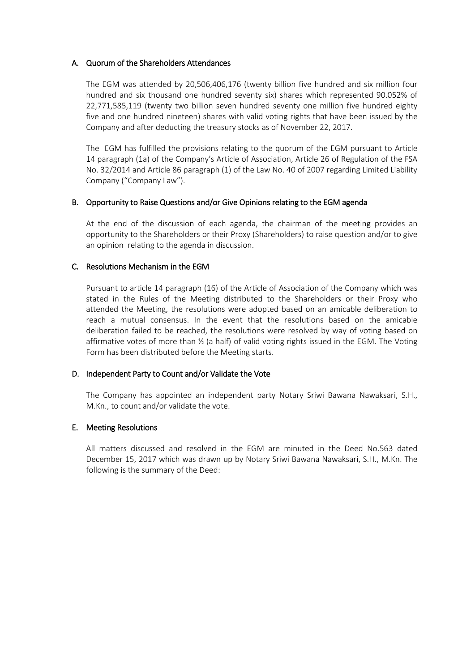#### A. Quorum of the Shareholders Attendances

The EGM was attended by 20,506,406,176 (twenty billion five hundred and six million four hundred and six thousand one hundred seventy six) shares which represented 90.052% of 22,771,585,119 (twenty two billion seven hundred seventy one million five hundred eighty five and one hundred nineteen) shares with valid voting rights that have been issued by the Company and after deducting the treasury stocks as of November 22, 2017.

The EGM has fulfilled the provisions relating to the quorum of the EGM pursuant to Article 14 paragraph (1a) of the Company's Article of Association, Article 26 of Regulation of the FSA No. 32/2014 and Article 86 paragraph (1) of the Law No. 40 of 2007 regarding Limited Liability Company ("Company Law").

### B. Opportunity to Raise Questions and/or Give Opinions relating to the EGM agenda

At the end of the discussion of each agenda, the chairman of the meeting provides an opportunity to the Shareholders or their Proxy (Shareholders) to raise question and/or to give an opinion relating to the agenda in discussion.

### C. Resolutions Mechanism in the EGM

Pursuant to article 14 paragraph (16) of the Article of Association of the Company which was stated in the Rules of the Meeting distributed to the Shareholders or their Proxy who attended the Meeting, the resolutions were adopted based on an amicable deliberation to reach a mutual consensus. In the event that the resolutions based on the amicable deliberation failed to be reached, the resolutions were resolved by way of voting based on affirmative votes of more than  $\frac{1}{2}$  (a half) of valid voting rights issued in the EGM. The Voting Form has been distributed before the Meeting starts.

#### D. Independent Party to Count and/or Validate the Vote

The Company has appointed an independent party Notary Sriwi Bawana Nawaksari, S.H., M.Kn., to count and/or validate the vote.

## E. Meeting Resolutions

All matters discussed and resolved in the EGM are minuted in the Deed No.563 dated December 15, 2017 which was drawn up by Notary Sriwi Bawana Nawaksari, S.H., M.Kn. The following is the summary of the Deed: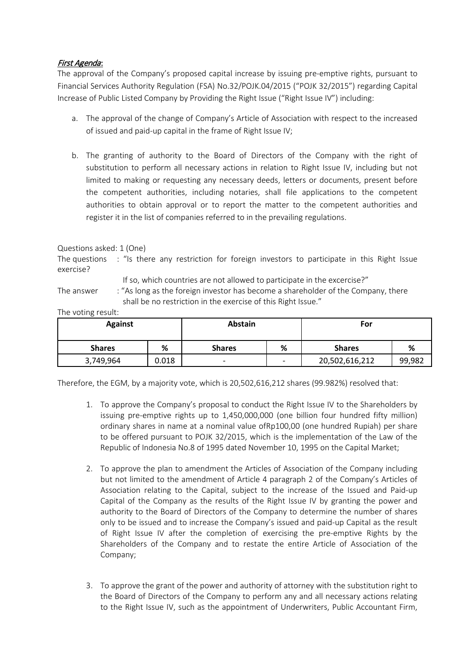# First Agenda:

The approval of the Company's proposed capital increase by issuing pre-emptive rights, pursuant to Financial Services Authority Regulation (FSA) No.32/POJK.04/2015 ("POJK 32/2015") regarding Capital Increase of Public Listed Company by Providing the Right Issue ("Right Issue IV") including:

- a. The approval of the change of Company's Article of Association with respect to the increased of issued and paid-up capital in the frame of Right Issue IV;
- b. The granting of authority to the Board of Directors of the Company with the right of substitution to perform all necessary actions in relation to Right Issue IV, including but not limited to making or requesting any necessary deeds, letters or documents, present before the competent authorities, including notaries, shall file applications to the competent authorities to obtain approval or to report the matter to the competent authorities and register it in the list of companies referred to in the prevailing regulations.

### Questions asked: 1 (One)

The questions : "Is there any restriction for foreign investors to participate in this Right Issue exercise?

If so, which countries are not allowed to participate in the excercise?"

The answer : "As long as the foreign investor has become a shareholder of the Company, there shall be no restriction in the exercise of this Right Issue."

The voting result:

| <b>Against</b> |       | Abstain                  |                          | For            |        |
|----------------|-------|--------------------------|--------------------------|----------------|--------|
| <b>Shares</b>  | %     | <b>Shares</b>            | %                        | <b>Shares</b>  | %      |
| 3,749,964      | 0.018 | $\overline{\phantom{0}}$ | $\overline{\phantom{0}}$ | 20,502,616,212 | 99,982 |

Therefore, the EGM, by a majority vote, which is 20,502,616,212 shares (99.982%) resolved that:

- 1. To approve the Company's proposal to conduct the Right Issue IV to the Shareholders by issuing pre-emptive rights up to 1,450,000,000 (one billion four hundred fifty million) ordinary shares in name at a nominal value ofRp100,00 (one hundred Rupiah) per share to be offered pursuant to POJK 32/2015, which is the implementation of the Law of the Republic of Indonesia No.8 of 1995 dated November 10, 1995 on the Capital Market;
- 2. To approve the plan to amendment the Articles of Association of the Company including but not limited to the amendment of Article 4 paragraph 2 of the Company's Articles of Association relating to the Capital, subject to the increase of the Issued and Paid-up Capital of the Company as the results of the Right Issue IV by granting the power and authority to the Board of Directors of the Company to determine the number of shares only to be issued and to increase the Company's issued and paid-up Capital as the result of Right Issue IV after the completion of exercising the pre-emptive Rights by the Shareholders of the Company and to restate the entire Article of Association of the Company;
- 3. To approve the grant of the power and authority of attorney with the substitution right to the Board of Directors of the Company to perform any and all necessary actions relating to the Right Issue IV, such as the appointment of Underwriters, Public Accountant Firm,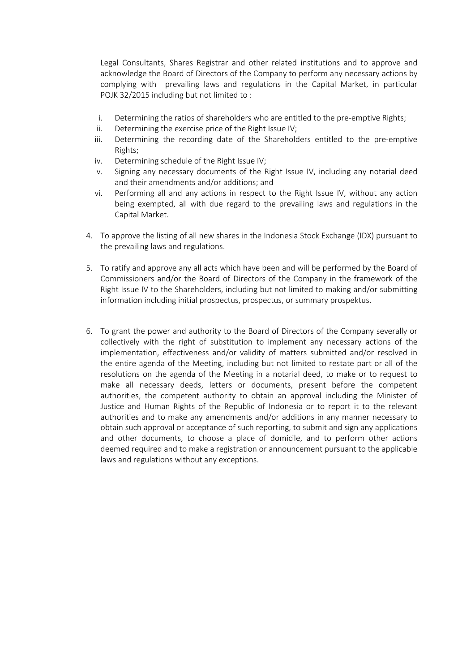Legal Consultants, Shares Registrar and other related institutions and to approve and acknowledge the Board of Directors of the Company to perform any necessary actions by complying with prevailing laws and regulations in the Capital Market, in particular POJK 32/2015 including but not limited to :

- i. Determining the ratios of shareholders who are entitled to the pre-emptive Rights;
- ii. Determining the exercise price of the Right Issue IV;
- iii. Determining the recording date of the Shareholders entitled to the pre-emptive Rights;
- iv. Determining schedule of the Right Issue IV;
- v. Signing any necessary documents of the Right Issue IV, including any notarial deed and their amendments and/or additions; and
- vi. Performing all and any actions in respect to the Right Issue IV, without any action being exempted, all with due regard to the prevailing laws and regulations in the Capital Market.
- 4. To approve the listing of all new shares in the Indonesia Stock Exchange (IDX) pursuant to the prevailing laws and regulations.
- 5. To ratify and approve any all acts which have been and will be performed by the Board of Commissioners and/or the Board of Directors of the Company in the framework of the Right Issue IV to the Shareholders, including but not limited to making and/or submitting information including initial prospectus, prospectus, or summary prospektus.
- 6. To grant the power and authority to the Board of Directors of the Company severally or collectively with the right of substitution to implement any necessary actions of the implementation, effectiveness and/or validity of matters submitted and/or resolved in the entire agenda of the Meeting, including but not limited to restate part or all of the resolutions on the agenda of the Meeting in a notarial deed, to make or to request to make all necessary deeds, letters or documents, present before the competent authorities, the competent authority to obtain an approval including the Minister of Justice and Human Rights of the Republic of Indonesia or to report it to the relevant authorities and to make any amendments and/or additions in any manner necessary to obtain such approval or acceptance of such reporting, to submit and sign any applications and other documents, to choose a place of domicile, and to perform other actions deemed required and to make a registration or announcement pursuant to the applicable laws and regulations without any exceptions.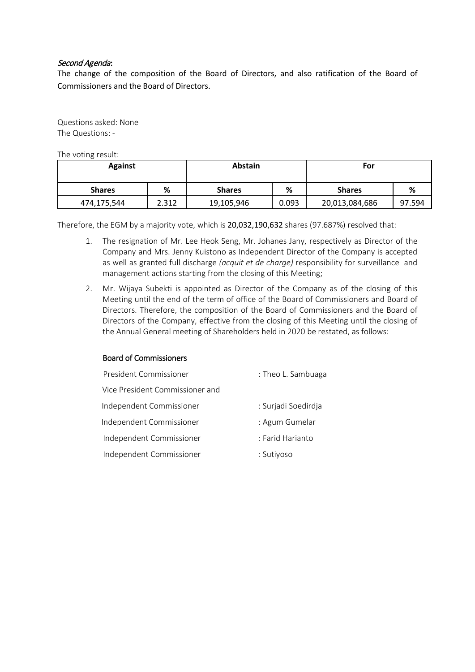### Second Agenda:

The change of the composition of the Board of Directors, and also ratification of the Board of Commissioners and the Board of Directors.

Questions asked: None The Questions: -

The voting result:

| <b>Against</b> |       | <b>Abstain</b> |       | For            |        |
|----------------|-------|----------------|-------|----------------|--------|
| <b>Shares</b>  | %     | <b>Shares</b>  | ℅     | <b>Shares</b>  | %      |
| 474,175,544    | 2.312 | 19,105,946     | 0.093 | 20,013,084,686 | 97.594 |

Therefore, the EGM by a majority vote, which is 20,032,190,632 shares (97.687%) resolved that:

- 1. The resignation of Mr. Lee Heok Seng, Mr. Johanes Jany, respectively as Director of the Company and Mrs. Jenny Kuistono as Independent Director of the Company is accepted as well as granted full discharge *(acquit et de charge)* responsibility for surveillance and management actions starting from the closing of this Meeting;
- 2. Mr. Wijaya Subekti is appointed as Director of the Company as of the closing of this Meeting until the end of the term of office of the Board of Commissioners and Board of Directors. Therefore, the composition of the Board of Commissioners and the Board of Directors of the Company, effective from the closing of this Meeting until the closing of the Annual General meeting of Shareholders held in 2020 be restated, as follows:

#### Board of Commissioners

| President Commissioner          | : Theo L. Sambuaga  |  |
|---------------------------------|---------------------|--|
| Vice President Commissioner and |                     |  |
| Independent Commissioner        | : Surjadi Soedirdja |  |
| Independent Commissioner        | : Agum Gumelar      |  |
| Independent Commissioner        | : Farid Harianto    |  |
| Independent Commissioner        | : Sutiyoso          |  |